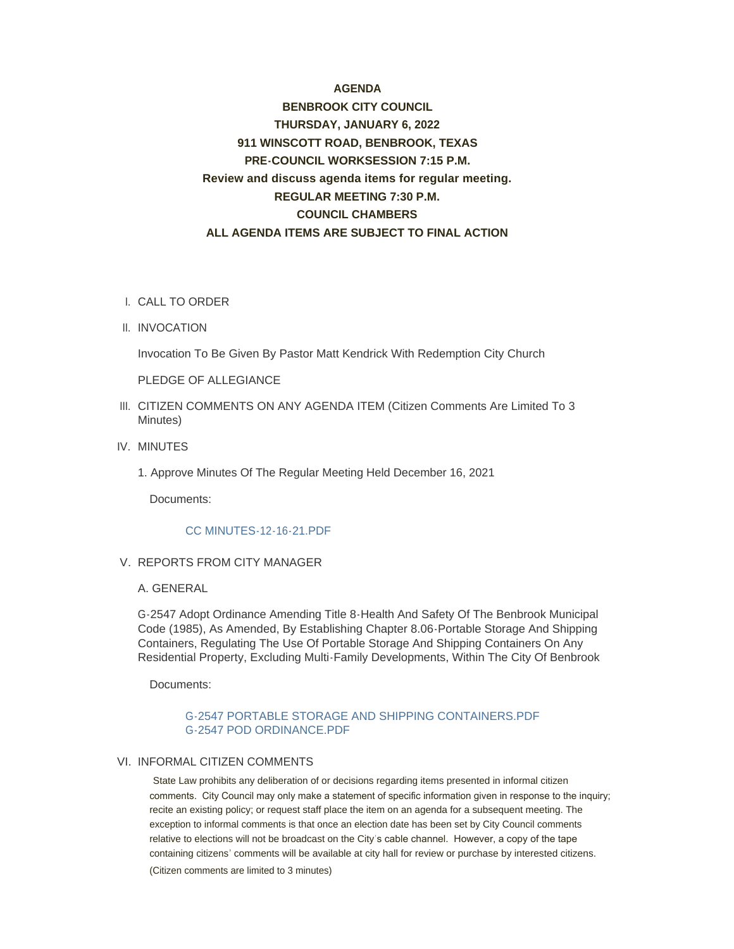#### **AGENDA**

# **BENBROOK CITY COUNCIL THURSDAY, JANUARY 6, 2022 911 WINSCOTT ROAD, BENBROOK, TEXAS PRE-COUNCIL WORKSESSION 7:15 P.M. Review and discuss agenda items for regular meeting. REGULAR MEETING 7:30 P.M. COUNCIL CHAMBERS ALL AGENDA ITEMS ARE SUBJECT TO FINAL ACTION**

- CALL TO ORDER I.
- II. INVOCATION

Invocation To Be Given By Pastor Matt Kendrick With Redemption City Church

PLEDGE OF ALLEGIANCE

- III. CITIZEN COMMENTS ON ANY AGENDA ITEM (Citizen Comments Are Limited To 3 Minutes)
- IV. MINUTES
	- 1. Approve Minutes Of The Regular Meeting Held December 16, 2021

Documents:

#### CC MINUTES-12-16-21.PDF

#### V. REPORTS FROM CITY MANAGER

#### A. GENERAL

G-2547 Adopt Ordinance Amending Title 8-Health And Safety Of The Benbrook Municipal Code (1985), As Amended, By Establishing Chapter 8.06-Portable Storage And Shipping Containers, Regulating The Use Of Portable Storage And Shipping Containers On Any Residential Property, Excluding Multi-Family Developments, Within The City Of Benbrook

Documents:

#### G-2547 PORTABLE STORAGE AND SHIPPING CONTAINERS.PDF G-2547 POD ORDINANCE.PDF

#### VI. INFORMAL CITIZEN COMMENTS

State Law prohibits any deliberation of or decisions regarding items presented in informal citizen comments. City Council may only make a statement of specific information given in response to the inquiry; recite an existing policy; or request staff place the item on an agenda for a subsequent meeting. The exception to informal comments is that once an election date has been set by City Council comments relative to elections will not be broadcast on the City' s cable channel. However, a copy of the tape containing citizens' comments will be available at city hall for review or purchase by interested citizens. (Citizen comments are limited to 3 minutes)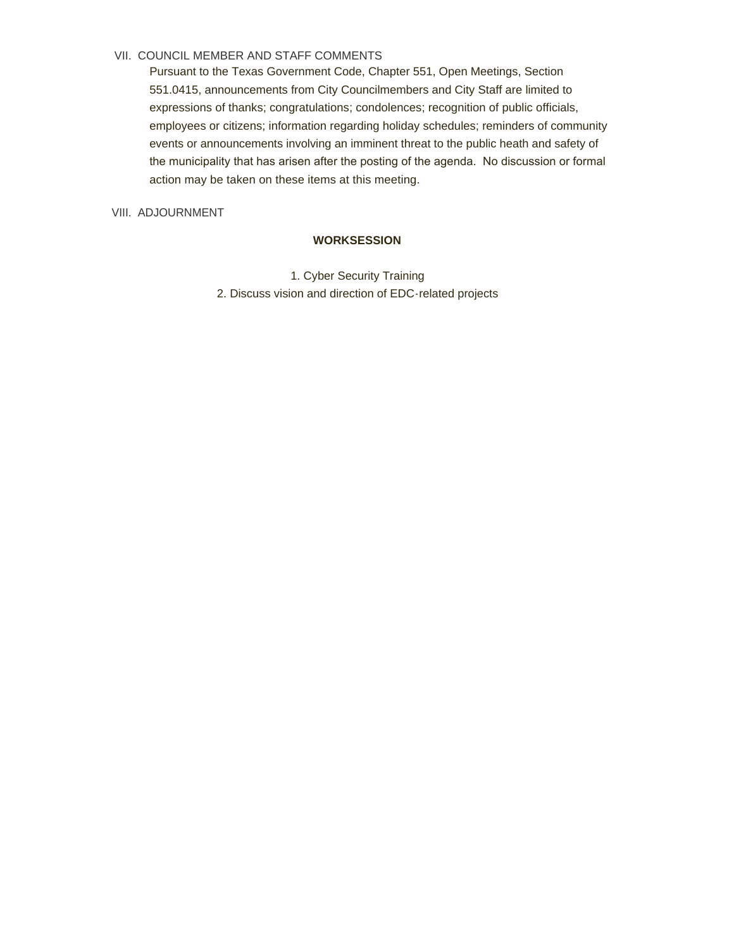#### VII. COUNCIL MEMBER AND STAFF COMMENTS

Pursuant to the Texas Government Code, Chapter 551, Open Meetings, Section 551.0415, announcements from City Councilmembers and City Staff are limited to expressions of thanks; congratulations; condolences; recognition of public officials, employees or citizens; information regarding holiday schedules; reminders of community events or announcements involving an imminent threat to the public heath and safety of the municipality that has arisen after the posting of the agenda. No discussion or formal action may be taken on these items at this meeting.

VIII. ADJOURNMENT

#### **WORKSESSION**

1. Cyber Security Training 2. Discuss vision and direction of EDC-related projects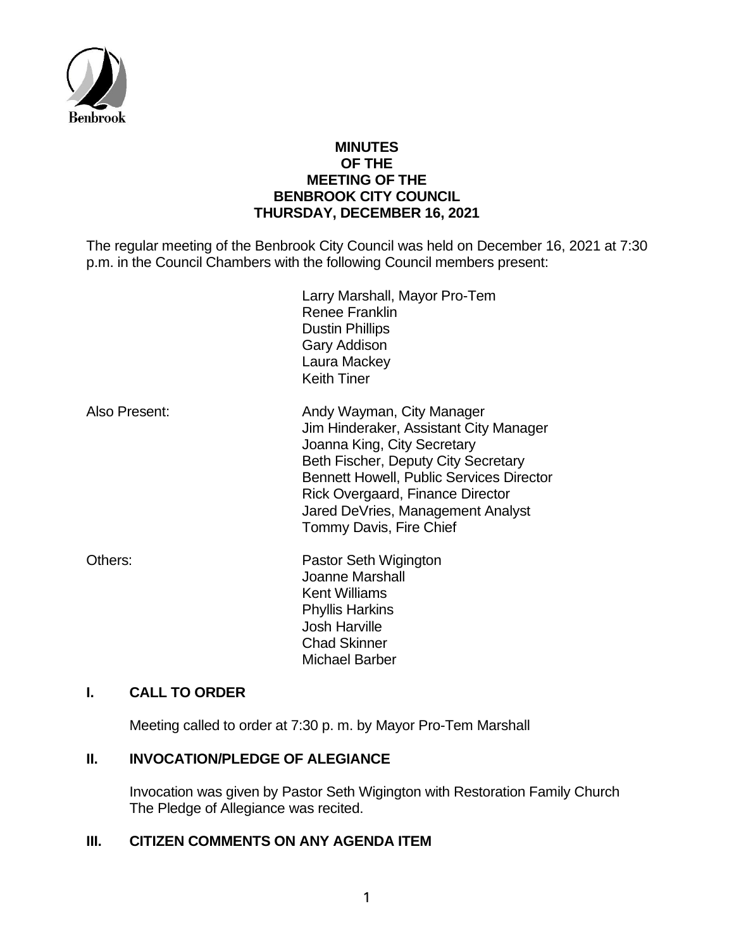

# **MINUTES OF THE MEETING OF THE BENBROOK CITY COUNCIL THURSDAY, DECEMBER 16, 2021**

The regular meeting of the Benbrook City Council was held on December 16, 2021 at 7:30 p.m. in the Council Chambers with the following Council members present:

|               | Larry Marshall, Mayor Pro-Tem<br><b>Renee Franklin</b><br><b>Dustin Phillips</b><br>Gary Addison<br>Laura Mackey<br><b>Keith Tiner</b>                                                                                                                                                           |
|---------------|--------------------------------------------------------------------------------------------------------------------------------------------------------------------------------------------------------------------------------------------------------------------------------------------------|
| Also Present: | Andy Wayman, City Manager<br>Jim Hinderaker, Assistant City Manager<br>Joanna King, City Secretary<br>Beth Fischer, Deputy City Secretary<br><b>Bennett Howell, Public Services Director</b><br>Rick Overgaard, Finance Director<br>Jared DeVries, Management Analyst<br>Tommy Davis, Fire Chief |
| Others:       | Pastor Seth Wigington<br>Joanne Marshall<br><b>Kent Williams</b><br><b>Phyllis Harkins</b><br><b>Josh Harville</b><br><b>Chad Skinner</b><br>Michael Barber                                                                                                                                      |

# **I. CALL TO ORDER**

Meeting called to order at 7:30 p. m. by Mayor Pro-Tem Marshall

# **II. INVOCATION/PLEDGE OF ALEGIANCE**

Invocation was given by Pastor Seth Wigington with Restoration Family Church The Pledge of Allegiance was recited.

# **III. CITIZEN COMMENTS ON ANY AGENDA ITEM**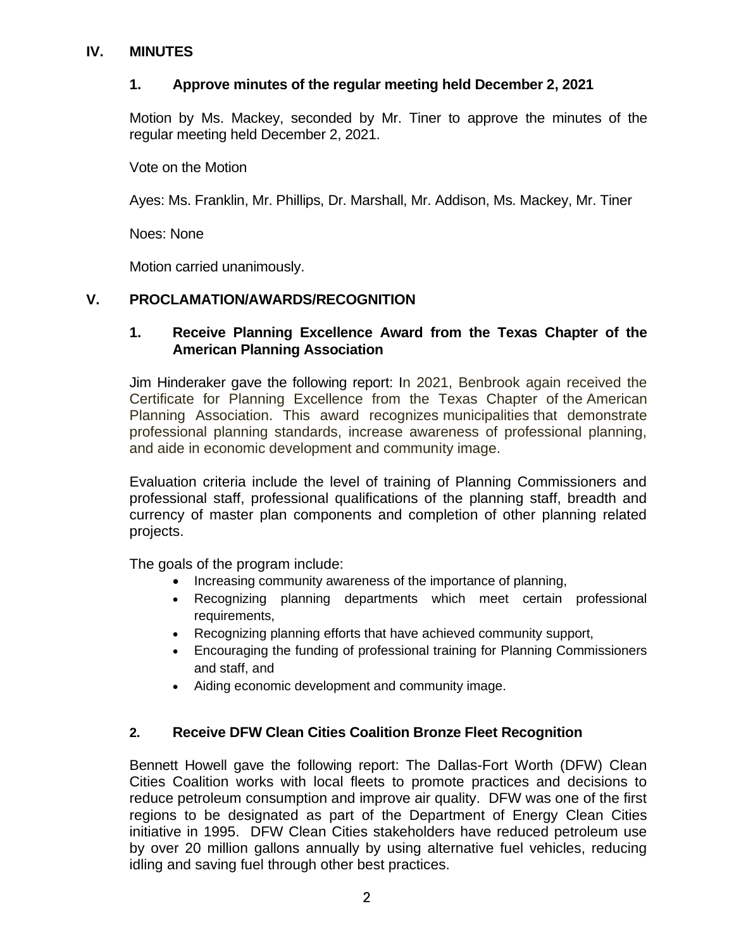# **IV. MINUTES**

# **1. Approve minutes of the regular meeting held December 2, 2021**

Motion by Ms. Mackey, seconded by Mr. Tiner to approve the minutes of the regular meeting held December 2, 2021.

Vote on the Motion

Ayes: Ms. Franklin, Mr. Phillips, Dr. Marshall, Mr. Addison, Ms. Mackey, Mr. Tiner

Noes: None

Motion carried unanimously.

# **V. PROCLAMATION/AWARDS/RECOGNITION**

# **1. Receive Planning Excellence Award from the Texas Chapter of the American Planning Association**

Jim Hinderaker gave the following report: In 2021, Benbrook again received the Certificate for Planning Excellence from the Texas Chapter of the American Planning Association. This award recognizes municipalities that demonstrate professional planning standards, increase awareness of professional planning, and aide in economic development and community image.

Evaluation criteria include the level of training of Planning Commissioners and professional staff, professional qualifications of the planning staff, breadth and currency of master plan components and completion of other planning related projects.

The goals of the program include:

- Increasing community awareness of the importance of planning,
- Recognizing planning departments which meet certain professional requirements.
- Recognizing planning efforts that have achieved community support,
- Encouraging the funding of professional training for Planning Commissioners and staff, and
- Aiding economic development and community image.

# **2. Receive DFW Clean Cities Coalition Bronze Fleet Recognition**

Bennett Howell gave the following report: The Dallas-Fort Worth (DFW) Clean Cities Coalition works with local fleets to promote practices and decisions to reduce petroleum consumption and improve air quality. DFW was one of the first regions to be designated as part of the Department of Energy Clean Cities initiative in 1995. DFW Clean Cities stakeholders have reduced petroleum use by over 20 million gallons annually by using alternative fuel vehicles, reducing idling and saving fuel through other best practices.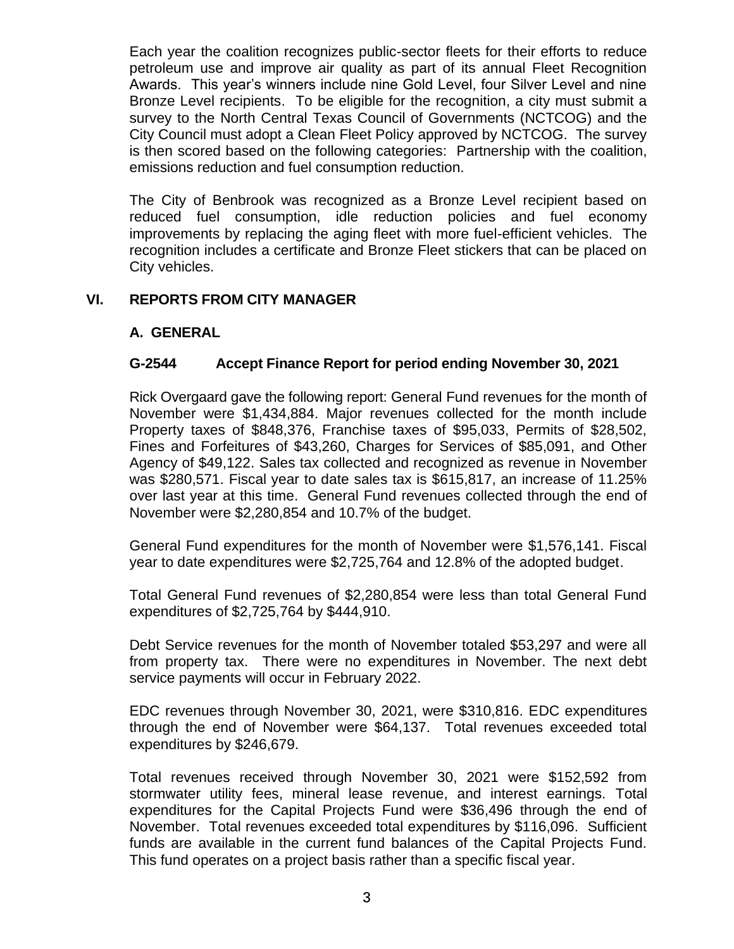Each year the coalition recognizes public-sector fleets for their efforts to reduce petroleum use and improve air quality as part of its annual Fleet Recognition Awards. This year's winners include nine Gold Level, four Silver Level and nine Bronze Level recipients. To be eligible for the recognition, a city must submit a survey to the North Central Texas Council of Governments (NCTCOG) and the City Council must adopt a Clean Fleet Policy approved by NCTCOG. The survey is then scored based on the following categories: Partnership with the coalition, emissions reduction and fuel consumption reduction.

The City of Benbrook was recognized as a Bronze Level recipient based on reduced fuel consumption, idle reduction policies and fuel economy improvements by replacing the aging fleet with more fuel-efficient vehicles. The recognition includes a certificate and Bronze Fleet stickers that can be placed on City vehicles.

# **VI. REPORTS FROM CITY MANAGER**

# **A. GENERAL**

# **G-2544 Accept Finance Report for period ending November 30, 2021**

Rick Overgaard gave the following report: General Fund revenues for the month of November were \$1,434,884. Major revenues collected for the month include Property taxes of \$848,376, Franchise taxes of \$95,033, Permits of \$28,502, Fines and Forfeitures of \$43,260, Charges for Services of \$85,091, and Other Agency of \$49,122. Sales tax collected and recognized as revenue in November was \$280,571. Fiscal year to date sales tax is \$615,817, an increase of 11.25% over last year at this time. General Fund revenues collected through the end of November were \$2,280,854 and 10.7% of the budget.

General Fund expenditures for the month of November were \$1,576,141. Fiscal year to date expenditures were \$2,725,764 and 12.8% of the adopted budget.

Total General Fund revenues of \$2,280,854 were less than total General Fund expenditures of \$2,725,764 by \$444,910.

Debt Service revenues for the month of November totaled \$53,297 and were all from property tax. There were no expenditures in November. The next debt service payments will occur in February 2022.

EDC revenues through November 30, 2021, were \$310,816. EDC expenditures through the end of November were \$64,137. Total revenues exceeded total expenditures by \$246,679.

Total revenues received through November 30, 2021 were \$152,592 from stormwater utility fees, mineral lease revenue, and interest earnings. Total expenditures for the Capital Projects Fund were \$36,496 through the end of November. Total revenues exceeded total expenditures by \$116,096. Sufficient funds are available in the current fund balances of the Capital Projects Fund. This fund operates on a project basis rather than a specific fiscal year.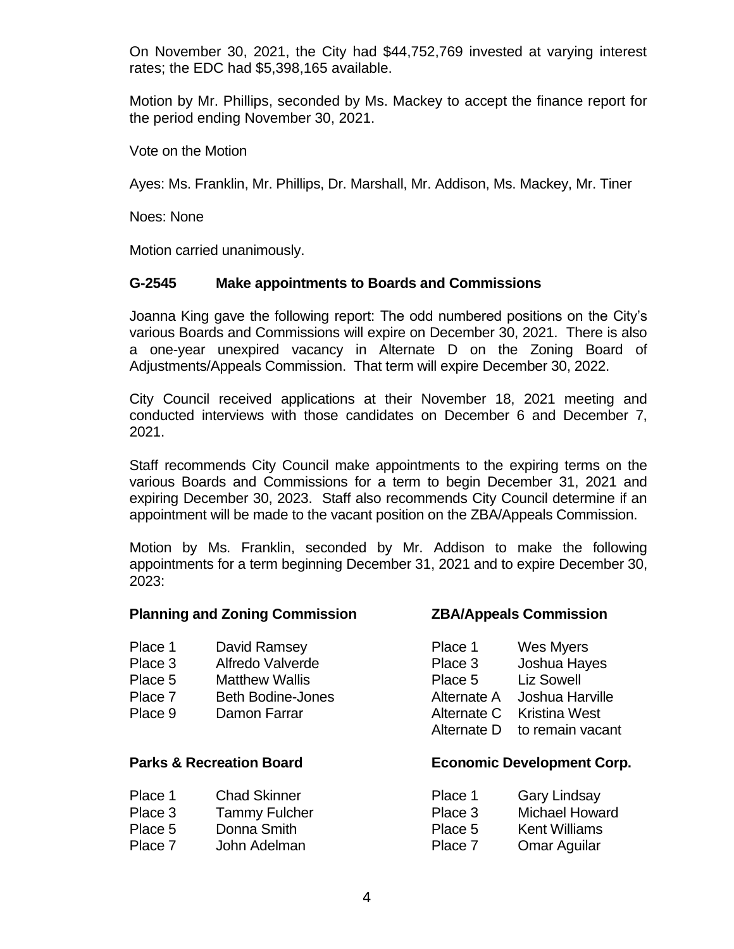On November 30, 2021, the City had \$44,752,769 invested at varying interest rates; the EDC had \$5,398,165 available.

Motion by Mr. Phillips, seconded by Ms. Mackey to accept the finance report for the period ending November 30, 2021.

Vote on the Motion

Ayes: Ms. Franklin, Mr. Phillips, Dr. Marshall, Mr. Addison, Ms. Mackey, Mr. Tiner

Noes: None

Motion carried unanimously.

### **G-2545 Make appointments to Boards and Commissions**

Joanna King gave the following report: The odd numbered positions on the City's various Boards and Commissions will expire on December 30, 2021. There is also a one-year unexpired vacancy in Alternate D on the Zoning Board of Adjustments/Appeals Commission. That term will expire December 30, 2022.

City Council received applications at their November 18, 2021 meeting and conducted interviews with those candidates on December 6 and December 7, 2021.

Staff recommends City Council make appointments to the expiring terms on the various Boards and Commissions for a term to begin December 31, 2021 and expiring December 30, 2023. Staff also recommends City Council determine if an appointment will be made to the vacant position on the ZBA/Appeals Commission.

Motion by Ms. Franklin, seconded by Mr. Addison to make the following appointments for a term beginning December 31, 2021 and to expire December 30, 2023:

#### **Planning and Zoning Commission ZBA/Appeals Commission**

| Place 1        | David Ramsey             | Place 1      | <b>Wes Myers</b> |
|----------------|--------------------------|--------------|------------------|
| <b>DIAAA</b> 0 | لملمعت بالمالد ملم معالى | <b>DIAAA</b> | وجال جروحا جنجار |

- Place 3 Alfredo Valverde Place 5 Matthew Wallis
- Place 7 Beth Bodine-Jones
- Place 9 Damon Farrar

## Place 1 Chad Skinner **Place 1** Gary Lindsay Place 3 Tammy Fulcher **Place 3** Michael Howard Howard Howard Howard Howard Howard Howard Howard Howard Howard Ho Place 5 Donna Smith Place 5 P Place 7 John Adelman P

| <b>Wes Myers</b>     |
|----------------------|
| Joshua Hayes         |
| <b>Liz Sowell</b>    |
| Joshua Harville      |
| <b>Kristina West</b> |
| to remain vacant     |
|                      |

# **Parks & Recreation Board Economic Development Corp.**

| lace 1 | <b>Gary Lindsay</b>   |
|--------|-----------------------|
| lace 3 | <b>Michael Howard</b> |
| lace 5 | <b>Kent Williams</b>  |
| lace 7 | <b>Omar Aguilar</b>   |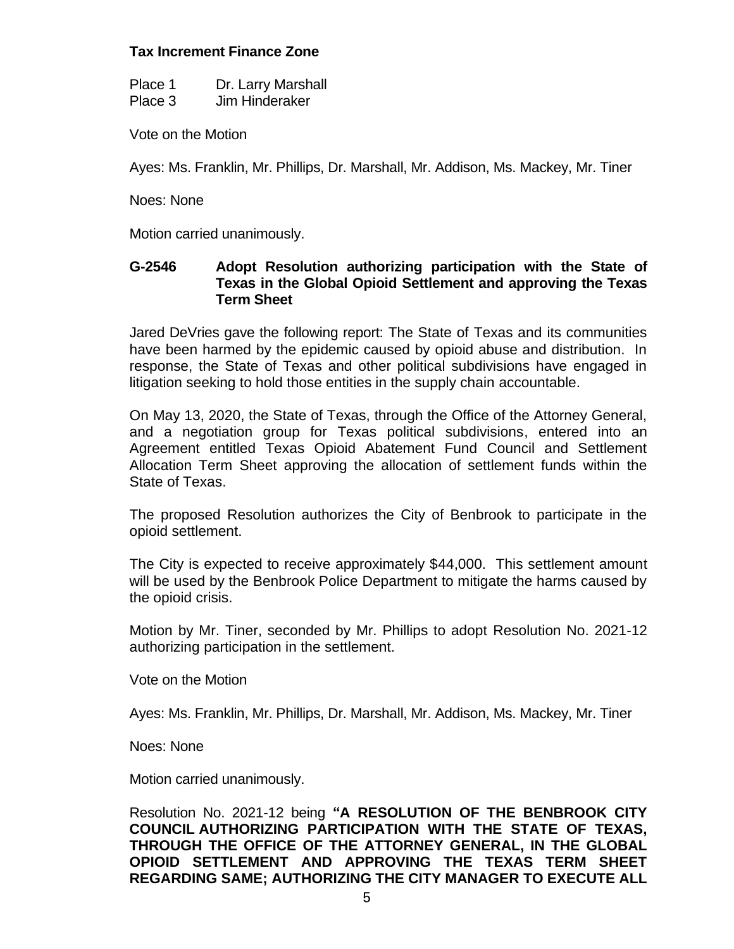# **Tax Increment Finance Zone**

| Place 1 | Dr. Larry Marshall |
|---------|--------------------|
| Place 3 | Jim Hinderaker     |

Vote on the Motion

Ayes: Ms. Franklin, Mr. Phillips, Dr. Marshall, Mr. Addison, Ms. Mackey, Mr. Tiner

Noes: None

Motion carried unanimously.

# **G-2546 Adopt Resolution authorizing participation with the State of Texas in the Global Opioid Settlement and approving the Texas Term Sheet**

Jared DeVries gave the following report: The State of Texas and its communities have been harmed by the epidemic caused by opioid abuse and distribution. In response, the State of Texas and other political subdivisions have engaged in litigation seeking to hold those entities in the supply chain accountable.

On May 13, 2020, the State of Texas, through the Office of the Attorney General, and a negotiation group for Texas political subdivisions, entered into an Agreement entitled Texas Opioid Abatement Fund Council and Settlement Allocation Term Sheet approving the allocation of settlement funds within the State of Texas.

The proposed Resolution authorizes the City of Benbrook to participate in the opioid settlement.

The City is expected to receive approximately \$44,000. This settlement amount will be used by the Benbrook Police Department to mitigate the harms caused by the opioid crisis.

Motion by Mr. Tiner, seconded by Mr. Phillips to adopt Resolution No. 2021-12 authorizing participation in the settlement.

Vote on the Motion

Ayes: Ms. Franklin, Mr. Phillips, Dr. Marshall, Mr. Addison, Ms. Mackey, Mr. Tiner

Noes: None

Motion carried unanimously.

Resolution No. 2021-12 being **"A RESOLUTION OF THE BENBROOK CITY COUNCIL AUTHORIZING PARTICIPATION WITH THE STATE OF TEXAS, THROUGH THE OFFICE OF THE ATTORNEY GENERAL, IN THE GLOBAL OPIOID SETTLEMENT AND APPROVING THE TEXAS TERM SHEET REGARDING SAME; AUTHORIZING THE CITY MANAGER TO EXECUTE ALL**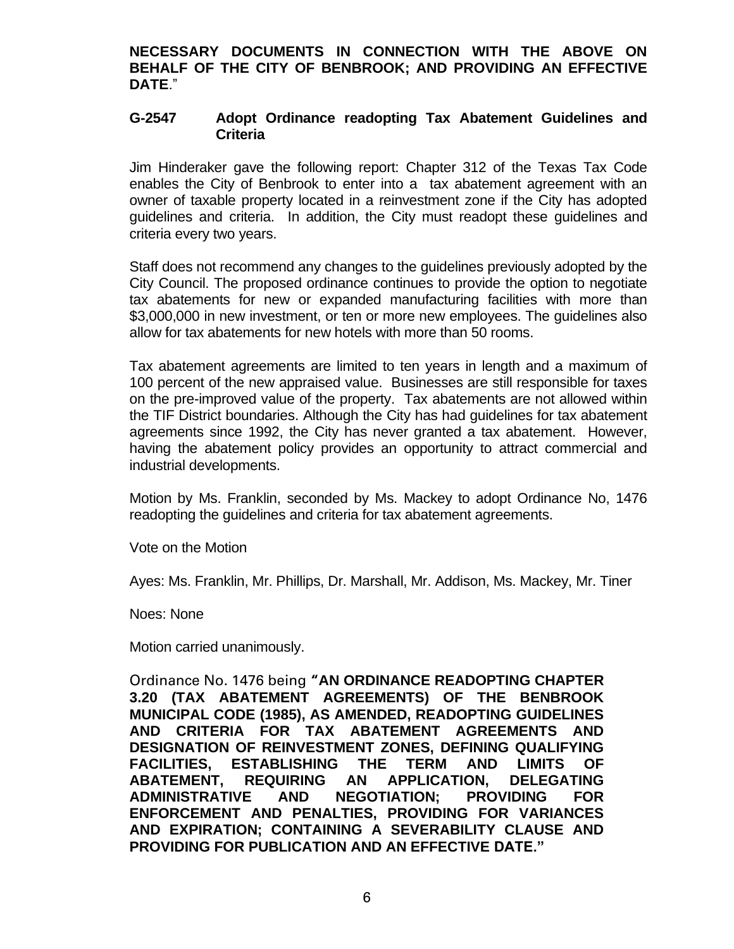**NECESSARY DOCUMENTS IN CONNECTION WITH THE ABOVE ON BEHALF OF THE CITY OF BENBROOK; AND PROVIDING AN EFFECTIVE DATE**."

### **G-2547 Adopt Ordinance readopting Tax Abatement Guidelines and Criteria**

Jim Hinderaker gave the following report: Chapter 312 of the Texas Tax Code enables the City of Benbrook to enter into a tax abatement agreement with an owner of taxable property located in a reinvestment zone if the City has adopted guidelines and criteria. In addition, the City must readopt these guidelines and criteria every two years.

Staff does not recommend any changes to the guidelines previously adopted by the City Council. The proposed ordinance continues to provide the option to negotiate tax abatements for new or expanded manufacturing facilities with more than \$3,000,000 in new investment, or ten or more new employees. The guidelines also allow for tax abatements for new hotels with more than 50 rooms.

Tax abatement agreements are limited to ten years in length and a maximum of 100 percent of the new appraised value. Businesses are still responsible for taxes on the pre-improved value of the property. Tax abatements are not allowed within the TIF District boundaries. Although the City has had guidelines for tax abatement agreements since 1992, the City has never granted a tax abatement. However, having the abatement policy provides an opportunity to attract commercial and industrial developments.

Motion by Ms. Franklin, seconded by Ms. Mackey to adopt Ordinance No, 1476 readopting the guidelines and criteria for tax abatement agreements.

Vote on the Motion

Ayes: Ms. Franklin, Mr. Phillips, Dr. Marshall, Mr. Addison, Ms. Mackey, Mr. Tiner

Noes: None

Motion carried unanimously.

Ordinance No. 1476 being **"AN ORDINANCE READOPTING CHAPTER 3.20 (TAX ABATEMENT AGREEMENTS) OF THE BENBROOK MUNICIPAL CODE (1985), AS AMENDED, READOPTING GUIDELINES AND CRITERIA FOR TAX ABATEMENT AGREEMENTS AND DESIGNATION OF REINVESTMENT ZONES, DEFINING QUALIFYING FACILITIES, ESTABLISHING THE TERM AND LIMITS OF ABATEMENT, REQUIRING AN APPLICATION, DELEGATING ADMINISTRATIVE AND NEGOTIATION; PROVIDING FOR ENFORCEMENT AND PENALTIES, PROVIDING FOR VARIANCES AND EXPIRATION; CONTAINING A SEVERABILITY CLAUSE AND PROVIDING FOR PUBLICATION AND AN EFFECTIVE DATE."**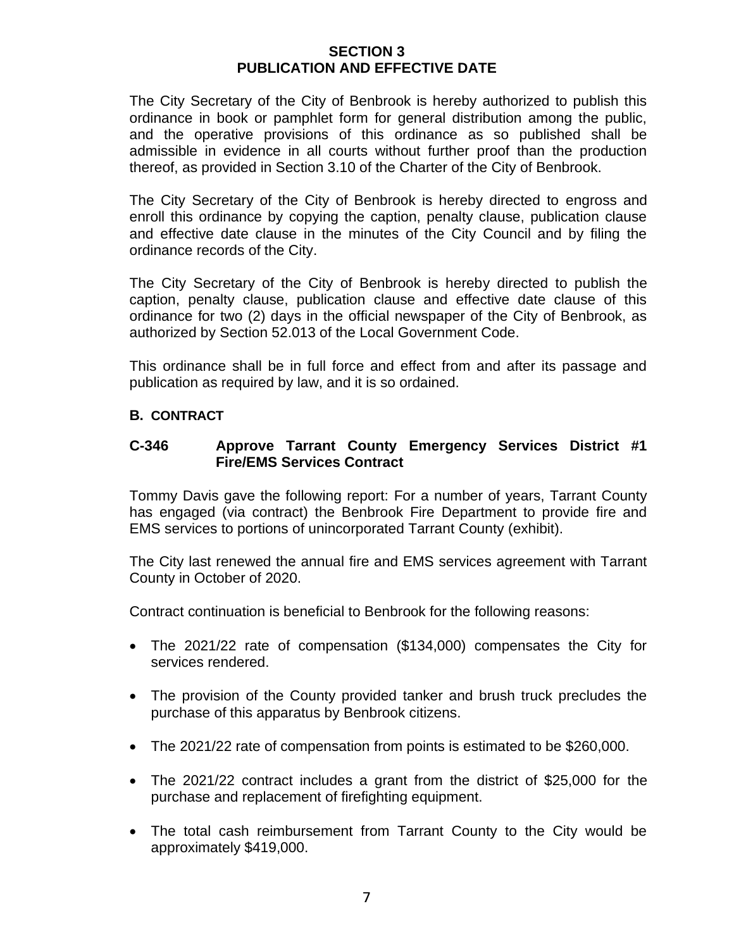# **SECTION 3 PUBLICATION AND EFFECTIVE DATE**

The City Secretary of the City of Benbrook is hereby authorized to publish this ordinance in book or pamphlet form for general distribution among the public, and the operative provisions of this ordinance as so published shall be admissible in evidence in all courts without further proof than the production thereof, as provided in Section 3.10 of the Charter of the City of Benbrook.

The City Secretary of the City of Benbrook is hereby directed to engross and enroll this ordinance by copying the caption, penalty clause, publication clause and effective date clause in the minutes of the City Council and by filing the ordinance records of the City.

The City Secretary of the City of Benbrook is hereby directed to publish the caption, penalty clause, publication clause and effective date clause of this ordinance for two (2) days in the official newspaper of the City of Benbrook, as authorized by Section 52.013 of the Local Government Code.

This ordinance shall be in full force and effect from and after its passage and publication as required by law, and it is so ordained.

# **B. CONTRACT**

# **C-346 Approve Tarrant County Emergency Services District #1 Fire/EMS Services Contract**

Tommy Davis gave the following report: For a number of years, Tarrant County has engaged (via contract) the Benbrook Fire Department to provide fire and EMS services to portions of unincorporated Tarrant County (exhibit).

The City last renewed the annual fire and EMS services agreement with Tarrant County in October of 2020.

Contract continuation is beneficial to Benbrook for the following reasons:

- The 2021/22 rate of compensation (\$134,000) compensates the City for services rendered.
- The provision of the County provided tanker and brush truck precludes the purchase of this apparatus by Benbrook citizens.
- The 2021/22 rate of compensation from points is estimated to be \$260,000.
- The 2021/22 contract includes a grant from the district of \$25,000 for the purchase and replacement of firefighting equipment.
- The total cash reimbursement from Tarrant County to the City would be approximately \$419,000.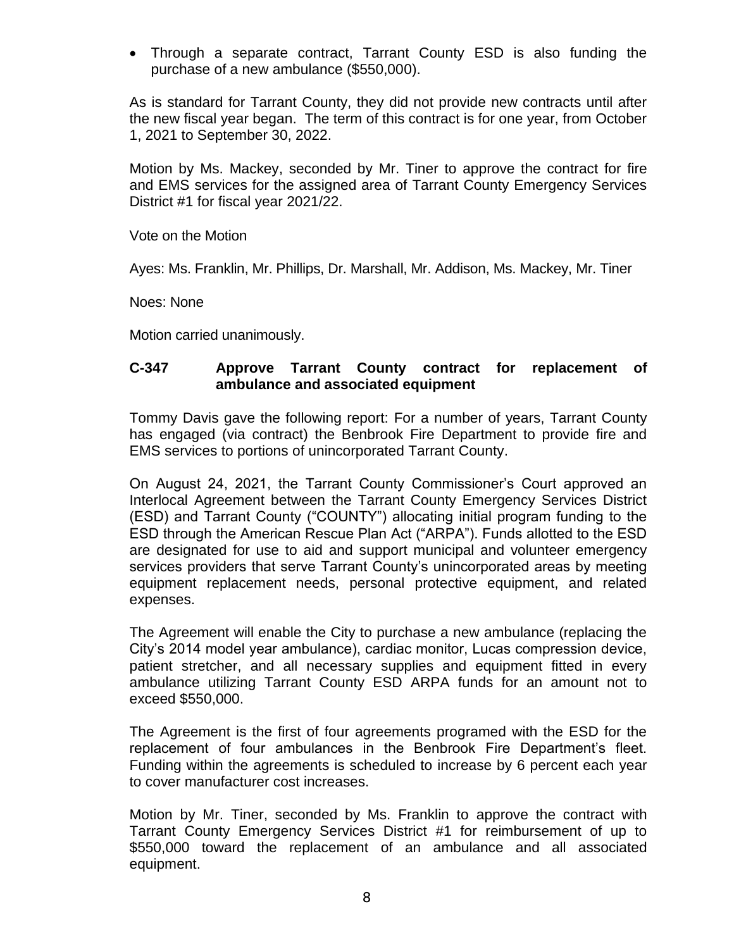• Through a separate contract, Tarrant County ESD is also funding the purchase of a new ambulance (\$550,000).

As is standard for Tarrant County, they did not provide new contracts until after the new fiscal year began. The term of this contract is for one year, from October 1, 2021 to September 30, 2022.

Motion by Ms. Mackey, seconded by Mr. Tiner to approve the contract for fire and EMS services for the assigned area of Tarrant County Emergency Services District #1 for fiscal year 2021/22.

Vote on the Motion

Ayes: Ms. Franklin, Mr. Phillips, Dr. Marshall, Mr. Addison, Ms. Mackey, Mr. Tiner

Noes: None

Motion carried unanimously.

# **C-347 Approve Tarrant County contract for replacement of ambulance and associated equipment**

Tommy Davis gave the following report: For a number of years, Tarrant County has engaged (via contract) the Benbrook Fire Department to provide fire and EMS services to portions of unincorporated Tarrant County.

On August 24, 2021, the Tarrant County Commissioner's Court approved an Interlocal Agreement between the Tarrant County Emergency Services District (ESD) and Tarrant County ("COUNTY") allocating initial program funding to the ESD through the American Rescue Plan Act ("ARPA"). Funds allotted to the ESD are designated for use to aid and support municipal and volunteer emergency services providers that serve Tarrant County's unincorporated areas by meeting equipment replacement needs, personal protective equipment, and related expenses.

The Agreement will enable the City to purchase a new ambulance (replacing the City's 2014 model year ambulance), cardiac monitor, Lucas compression device, patient stretcher, and all necessary supplies and equipment fitted in every ambulance utilizing Tarrant County ESD ARPA funds for an amount not to exceed \$550,000.

The Agreement is the first of four agreements programed with the ESD for the replacement of four ambulances in the Benbrook Fire Department's fleet. Funding within the agreements is scheduled to increase by 6 percent each year to cover manufacturer cost increases.

Motion by Mr. Tiner, seconded by Ms. Franklin to approve the contract with Tarrant County Emergency Services District #1 for reimbursement of up to \$550,000 toward the replacement of an ambulance and all associated equipment.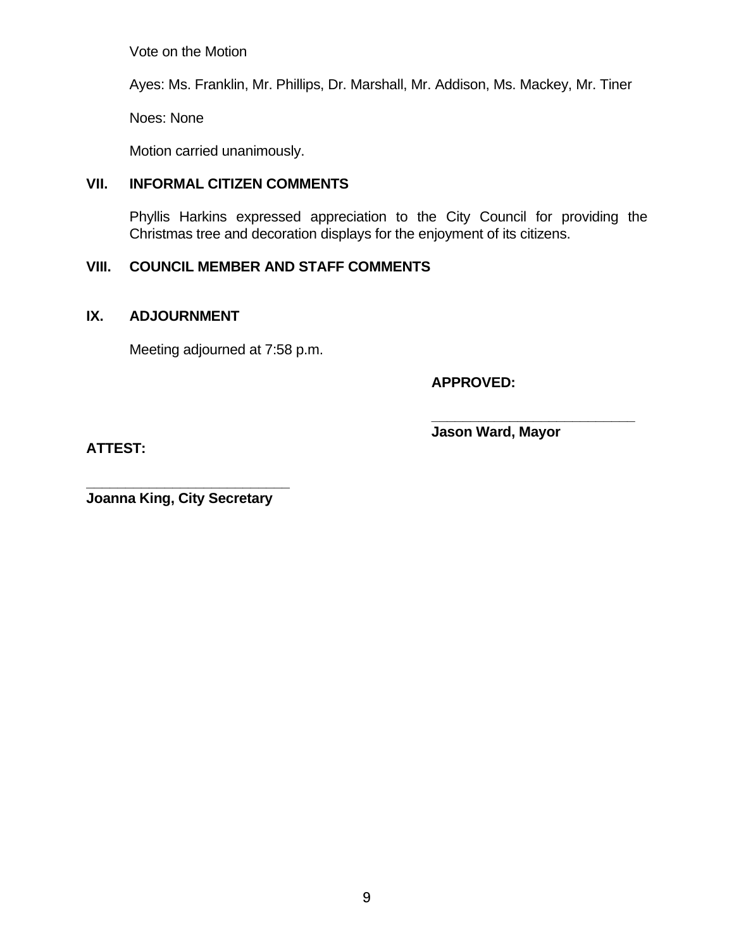Vote on the Motion

Ayes: Ms. Franklin, Mr. Phillips, Dr. Marshall, Mr. Addison, Ms. Mackey, Mr. Tiner

Noes: None

Motion carried unanimously.

# **VII. INFORMAL CITIZEN COMMENTS**

Phyllis Harkins expressed appreciation to the City Council for providing the Christmas tree and decoration displays for the enjoyment of its citizens.

# **VIII. COUNCIL MEMBER AND STAFF COMMENTS**

# **IX. ADJOURNMENT**

Meeting adjourned at 7:58 p.m.

**APPROVED:**

**ATTEST:**

**Jason Ward, Mayor**

**\_\_\_\_\_\_\_\_\_\_\_\_\_\_\_\_\_\_\_\_\_\_\_\_\_\_**

**\_\_\_\_\_\_\_\_\_\_\_\_\_\_\_\_\_\_\_\_\_\_\_\_\_\_ Joanna King, City Secretary**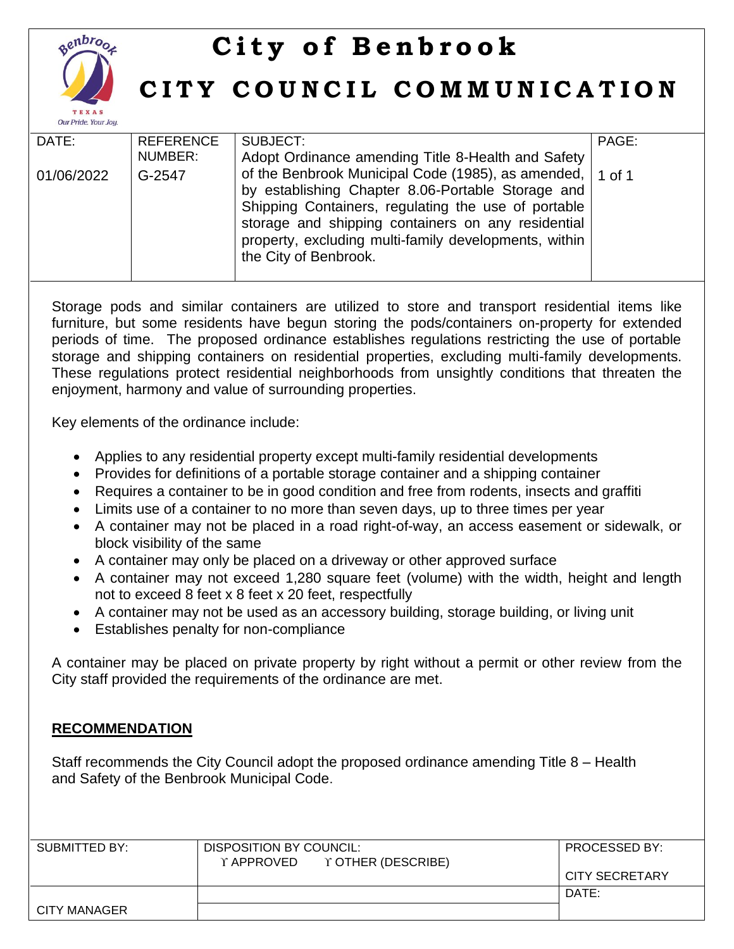

# **City of Benbrook**

# **C I T Y C O U N C I L C O M M U N I C A T I O N**

| DATE:      | <b>REFERENCE</b> | SUBJECT:                                                  | PAGE: |
|------------|------------------|-----------------------------------------------------------|-------|
|            | NUMBER:          | Adopt Ordinance amending Title 8-Health and Safety        |       |
| 01/06/2022 | G-2547           | of the Benbrook Municipal Code (1985), as amended, 1 of 1 |       |
|            |                  | by establishing Chapter 8.06-Portable Storage and         |       |
|            |                  | Shipping Containers, regulating the use of portable       |       |
|            |                  | storage and shipping containers on any residential        |       |
|            |                  | property, excluding multi-family developments, within     |       |
|            |                  | the City of Benbrook.                                     |       |
|            |                  |                                                           |       |

Storage pods and similar containers are utilized to store and transport residential items like furniture, but some residents have begun storing the pods/containers on-property for extended periods of time. The proposed ordinance establishes regulations restricting the use of portable storage and shipping containers on residential properties, excluding multi-family developments. These regulations protect residential neighborhoods from unsightly conditions that threaten the enjoyment, harmony and value of surrounding properties.

Key elements of the ordinance include:

- Applies to any residential property except multi-family residential developments
- Provides for definitions of a portable storage container and a shipping container
- Requires a container to be in good condition and free from rodents, insects and graffiti
- Limits use of a container to no more than seven days, up to three times per year
- A container may not be placed in a road right-of-way, an access easement or sidewalk, or block visibility of the same
- A container may only be placed on a driveway or other approved surface
- A container may not exceed 1,280 square feet (volume) with the width, height and length not to exceed 8 feet x 8 feet x 20 feet, respectfully
- A container may not be used as an accessory building, storage building, or living unit
- Establishes penalty for non-compliance

A container may be placed on private property by right without a permit or other review from the City staff provided the requirements of the ordinance are met.

# **RECOMMENDATION**

Staff recommends the City Council adopt the proposed ordinance amending Title 8 – Health and Safety of the Benbrook Municipal Code.

| SUBMITTED BY: | DISPOSITION BY COUNCIL:       | <b>PROCESSED BY:</b> |
|---------------|-------------------------------|----------------------|
|               | Y APPROVED Y OTHER (DESCRIBE) |                      |
|               |                               | CITY SECRETARY       |
|               |                               | DATE:                |
| CITY MANAGER  |                               |                      |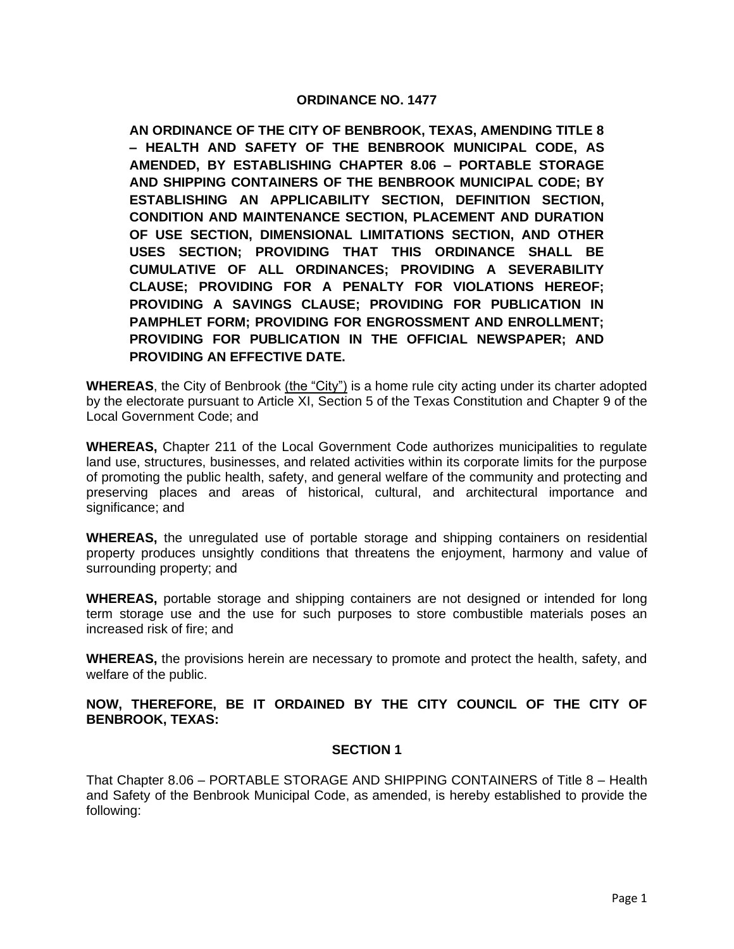#### **ORDINANCE NO. 1477**

**AN ORDINANCE OF THE CITY OF BENBROOK, TEXAS, AMENDING TITLE 8 – HEALTH AND SAFETY OF THE BENBROOK MUNICIPAL CODE, AS AMENDED, BY ESTABLISHING CHAPTER 8.06 – PORTABLE STORAGE AND SHIPPING CONTAINERS OF THE BENBROOK MUNICIPAL CODE; BY ESTABLISHING AN APPLICABILITY SECTION, DEFINITION SECTION, CONDITION AND MAINTENANCE SECTION, PLACEMENT AND DURATION OF USE SECTION, DIMENSIONAL LIMITATIONS SECTION, AND OTHER USES SECTION; PROVIDING THAT THIS ORDINANCE SHALL BE CUMULATIVE OF ALL ORDINANCES; PROVIDING A SEVERABILITY CLAUSE; PROVIDING FOR A PENALTY FOR VIOLATIONS HEREOF; PROVIDING A SAVINGS CLAUSE; PROVIDING FOR PUBLICATION IN PAMPHLET FORM; PROVIDING FOR ENGROSSMENT AND ENROLLMENT; PROVIDING FOR PUBLICATION IN THE OFFICIAL NEWSPAPER; AND PROVIDING AN EFFECTIVE DATE.**

**WHEREAS**, the City of Benbrook (the "City") is a home rule city acting under its charter adopted by the electorate pursuant to Article XI, Section 5 of the Texas Constitution and Chapter 9 of the Local Government Code; and

**WHEREAS,** Chapter 211 of the Local Government Code authorizes municipalities to regulate land use, structures, businesses, and related activities within its corporate limits for the purpose of promoting the public health, safety, and general welfare of the community and protecting and preserving places and areas of historical, cultural, and architectural importance and significance; and

**WHEREAS,** the unregulated use of portable storage and shipping containers on residential property produces unsightly conditions that threatens the enjoyment, harmony and value of surrounding property; and

**WHEREAS,** portable storage and shipping containers are not designed or intended for long term storage use and the use for such purposes to store combustible materials poses an increased risk of fire; and

**WHEREAS,** the provisions herein are necessary to promote and protect the health, safety, and welfare of the public.

**NOW, THEREFORE, BE IT ORDAINED BY THE CITY COUNCIL OF THE CITY OF BENBROOK, TEXAS:**

#### **SECTION 1**

That Chapter 8.06 – PORTABLE STORAGE AND SHIPPING CONTAINERS of Title 8 – Health and Safety of the Benbrook Municipal Code, as amended, is hereby established to provide the following: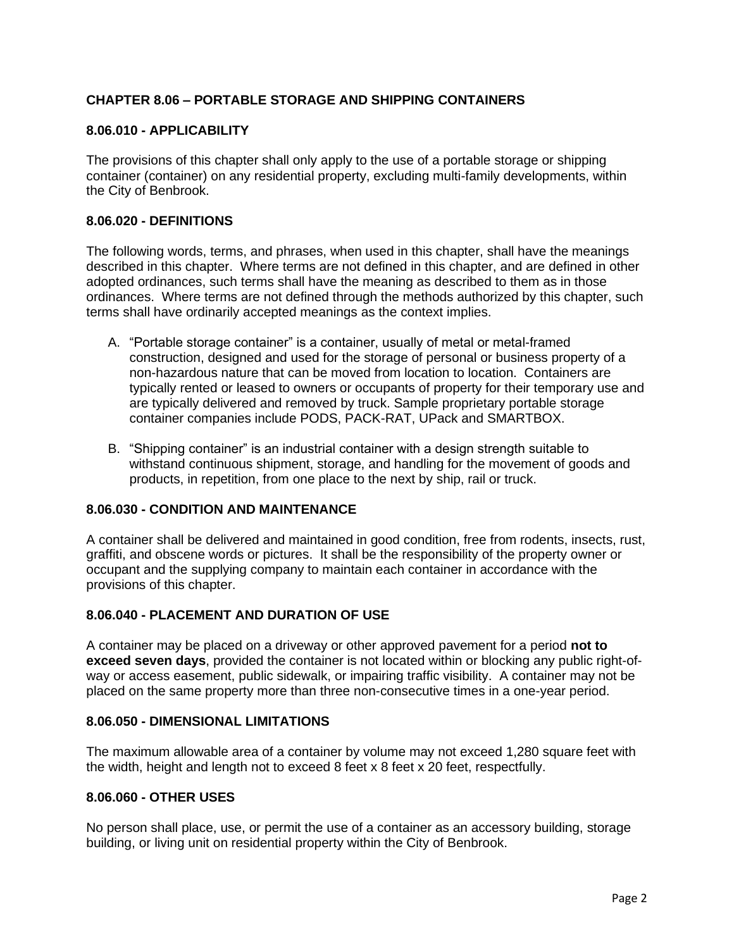### **CHAPTER 8.06 – PORTABLE STORAGE AND SHIPPING CONTAINERS**

#### **8.06.010 - APPLICABILITY**

The provisions of this chapter shall only apply to the use of a portable storage or shipping container (container) on any residential property, excluding multi-family developments, within the City of Benbrook.

#### **8.06.020 - DEFINITIONS**

The following words, terms, and phrases, when used in this chapter, shall have the meanings described in this chapter. Where terms are not defined in this chapter, and are defined in other adopted ordinances, such terms shall have the meaning as described to them as in those ordinances. Where terms are not defined through the methods authorized by this chapter, such terms shall have ordinarily accepted meanings as the context implies.

- A. "Portable storage container" is a container, usually of metal or metal-framed construction, designed and used for the storage of personal or business property of a non-hazardous nature that can be moved from location to location. Containers are typically rented or leased to owners or occupants of property for their temporary use and are typically delivered and removed by truck. Sample proprietary portable storage container companies include PODS, PACK-RAT, UPack and SMARTBOX.
- B. "Shipping container" is an industrial container with a design strength suitable to withstand continuous shipment, storage, and handling for the movement of goods and products, in repetition, from one place to the next by ship, rail or truck.

### **8.06.030 - CONDITION AND MAINTENANCE**

A container shall be delivered and maintained in good condition, free from rodents, insects, rust, graffiti, and obscene words or pictures. It shall be the responsibility of the property owner or occupant and the supplying company to maintain each container in accordance with the provisions of this chapter.

#### **8.06.040 - PLACEMENT AND DURATION OF USE**

A container may be placed on a driveway or other approved pavement for a period **not to exceed seven days**, provided the container is not located within or blocking any public right-ofway or access easement, public sidewalk, or impairing traffic visibility. A container may not be placed on the same property more than three non-consecutive times in a one-year period.

#### **8.06.050 - DIMENSIONAL LIMITATIONS**

The maximum allowable area of a container by volume may not exceed 1,280 square feet with the width, height and length not to exceed 8 feet x 8 feet x 20 feet, respectfully.

#### **8.06.060 - OTHER USES**

No person shall place, use, or permit the use of a container as an accessory building, storage building, or living unit on residential property within the City of Benbrook.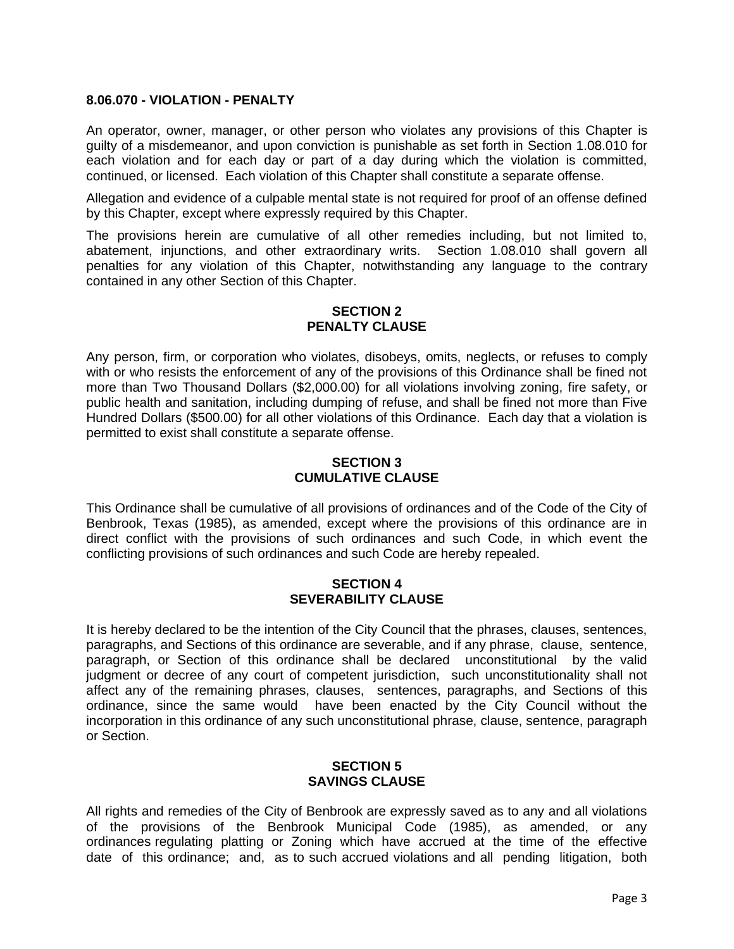#### **8.06.070 - VIOLATION - PENALTY**

An operator, owner, manager, or other person who violates any provisions of this Chapter is guilty of a misdemeanor, and upon conviction is punishable as set forth in Section 1.08.010 for each violation and for each day or part of a day during which the violation is committed, continued, or licensed. Each violation of this Chapter shall constitute a separate offense.

Allegation and evidence of a culpable mental state is not required for proof of an offense defined by this Chapter, except where expressly required by this Chapter.

The provisions herein are cumulative of all other remedies including, but not limited to, abatement, injunctions, and other extraordinary writs. Section 1.08.010 shall govern all penalties for any violation of this Chapter, notwithstanding any language to the contrary contained in any other Section of this Chapter.

#### **SECTION 2 PENALTY CLAUSE**

Any person, firm, or corporation who violates, disobeys, omits, neglects, or refuses to comply with or who resists the enforcement of any of the provisions of this Ordinance shall be fined not more than Two Thousand Dollars (\$2,000.00) for all violations involving zoning, fire safety, or public health and sanitation, including dumping of refuse, and shall be fined not more than Five Hundred Dollars (\$500.00) for all other violations of this Ordinance. Each day that a violation is permitted to exist shall constitute a separate offense.

#### **SECTION 3 CUMULATIVE CLAUSE**

This Ordinance shall be cumulative of all provisions of ordinances and of the Code of the City of Benbrook, Texas (1985), as amended, except where the provisions of this ordinance are in direct conflict with the provisions of such ordinances and such Code, in which event the conflicting provisions of such ordinances and such Code are hereby repealed.

#### **SECTION 4 SEVERABILITY CLAUSE**

It is hereby declared to be the intention of the City Council that the phrases, clauses, sentences, paragraphs, and Sections of this ordinance are severable, and if any phrase, clause, sentence, paragraph, or Section of this ordinance shall be declared unconstitutional by the valid judgment or decree of any court of competent jurisdiction, such unconstitutionality shall not affect any of the remaining phrases, clauses, sentences, paragraphs, and Sections of this ordinance, since the same would have been enacted by the City Council without the incorporation in this ordinance of any such unconstitutional phrase, clause, sentence, paragraph or Section.

#### **SECTION 5 SAVINGS CLAUSE**

All rights and remedies of the City of Benbrook are expressly saved as to any and all violations of the provisions of the Benbrook Municipal Code (1985), as amended, or any ordinances regulating platting or Zoning which have accrued at the time of the effective date of this ordinance; and, as to such accrued violations and all pending litigation, both